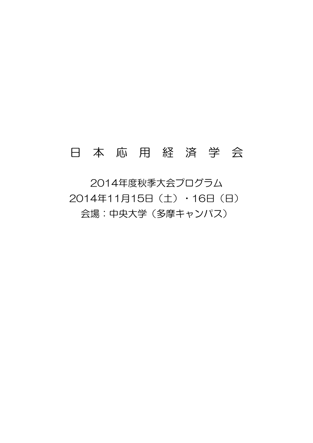# 日 本 応 用 経 済 学 会

2014年度秋季大会プログラム 2014年11月15日(土)・16日(日) 会場:中央大学(多摩キャンパス)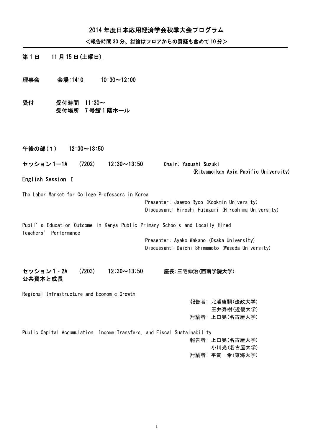## 2014 年度日本応用経済学会秋季大会プログラム

#### <報告時間 30 分、討論はフロアからの質疑も含めて 10 分>

#### 第 1 日 11 月 15 日 (土曜日)

Γ

理事会 会場:1410 10:30~12:00

- 受付 受付時間 11:30~ 受付場所 7 号館 1 階ホール
- 午後の部(1) 12:30~13:50

セッション 1-1A (7202) 12:30~13:50 Chair: Yasushi Suzuki

(Ritsumeikan Asia Pacific University)

#### English Session Ⅰ

The Labor Market for College Professors in Korea

Presenter: Jaewoo Ryoo (Kookmin University) Discussant: Hiroshi Futagami (Hiroshima University)

Pupil's Education Outcome in Kenya Public Primary Schools and Locally Hired Teachers' Performance

> Presenter: Ayako Wakano (Osaka University) Discussant: Daichi Shimamoto (Waseda University)

## セッション 1‐2A (7203) 12:30~13:50 座長:三宅伸治(西南学院大学) 公共資本と成長

Regional Infrastructure and Economic Growth

報告者: 北浦康嗣(法政大学)

- 玉井寿樹(近畿大学)
- 討論者: 上口晃(名古屋大学)

Public Capital Accumulation, Income Transfers, and Fiscal Sustainability 報告者: 上口晃(名古屋大学) 小川光(名古屋大学) 討論者: 平賀一希(東海大学)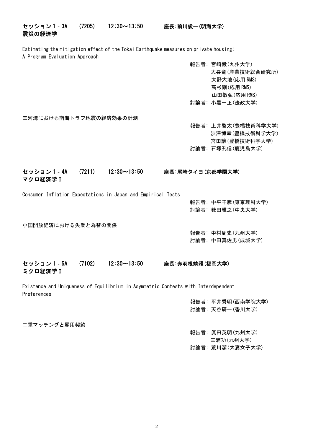Estimating the mitigation effect of the Tokai Earthquake measures on private housing: A Program Evaluation Approach

> 報告者: 宮崎毅(九州大学) 大谷竜(産業技術総合研究所) 大野大地(応用 RMS) 高杉剛(応用 RMS) 山田敏弘(応用 RMS) 討論者: 小黒一正(法政大学)

三河湾における南海トラフ地震の経済効果の計測

報告者: 上井啓太(豊橋技術科学大学) 渋澤博幸(豊橋技術科学大学) 宮田譲(豊橋技術科学大学) 討論者: 石塚孔信(鹿児島大学)

セッション 1‐4A (7211) 12:30~13:50 座長:尾崎タイヨ(京都学園大学) マクロ経済学Ⅰ

Consumer Inflation Expectations in Japan and Empirical Tests

報告者: 中平千彦(東京理科大学) 討論者: 薮田雅之(中央大学)

小国開放経済における失業と為替の関係

報告者: 中村周史(九州大学) 討論者: 中田真佐男(成城大学)

## セッション 1‐5A (7102) 12:30~13:50 座長:赤羽根靖雅(福岡大学) ミクロ経済学Ⅰ

Existence and Uniqueness of Equilibrium in Asymmetric Contests with Interdependent Preferences

> 報告者: 平井秀明(西南学院大学) 討論者: 天谷研一(香川大学)

二重マッチングと雇用契約

報告者: 眞田英明(九州大学) 三浦功(九州大学)

討論者: 荒川潔(大妻女子大学)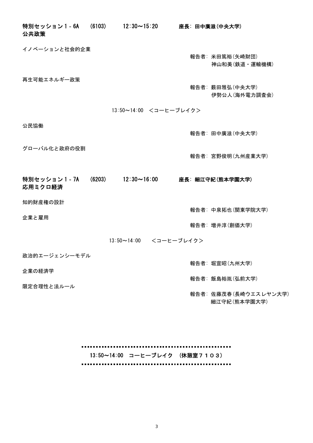| 特別セッション1- 6A<br>公共政策      | (6103) | $12:30 \sim 15:20$     | 座長: 田中廣滋 (中央大学)                        |
|---------------------------|--------|------------------------|----------------------------------------|
| イノベーションと社会的企業             |        |                        | 報告者: 米田篤裕 (矢崎財団)<br>神山和美(鉄道 · 運輸機構)    |
| 再生可能エネルギー政策               |        |                        | 報告者: 薮田雅弘 (中央大学)<br>伊勢公人(海外電力調査会)      |
|                           |        | 13:50~14:00 <コーヒーブレイク> |                                        |
| 公民協働                      |        |                        | 報告者: 田中廣滋 (中央大学)                       |
| グローバル化と政府の役割              |        |                        | 報告者: 宮野俊明 (九州産業大学)                     |
| 特別セッション 1 - 7A<br>応用ミクロ経済 | (6203) | $12:30 \sim 16:00$     | 座長: 細江守紀(熊本学園大学)                       |
| 知的財産権の設計                  |        |                        | 報告者: 中泉拓也(関東学院大学)                      |
| 企業と雇用                     |        |                        | 報告者: 増井淳 (創価大学)                        |
|                           |        | 13:50~14:00 <コーヒーブレイク> |                                        |
| 政治的エージェンシーモデル             |        |                        | 報告者: 堀宣昭 (九州大学)                        |
| 企業の経済学                    |        |                        | 報告者: 飯島裕胤(弘前大学)                        |
| 限定合理性と法ルール                |        |                        |                                        |
|                           |        |                        | 報告者: 佐藤茂春 (長崎ウエスレヤン大学)<br>細江守紀(熊本学園大学) |

13:50~14:00 コーヒーブレイク (休憩室7103)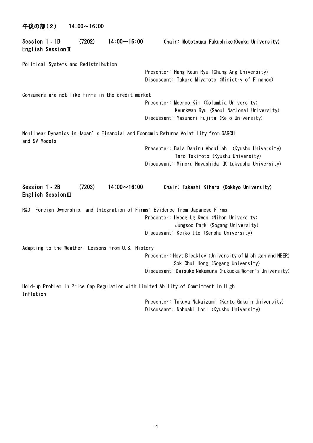| 午後の部(2)                                            | $14:00 \sim 16:00$ |                    |                                                                                                                                                              |
|----------------------------------------------------|--------------------|--------------------|--------------------------------------------------------------------------------------------------------------------------------------------------------------|
| Session 1 - 1B<br>English Session II               | (7202)             | $14:00 \sim 16:00$ | Chair: Mototsugu Fukushige (Osaka University)                                                                                                                |
| Political Systems and Redistribution               |                    |                    | Presenter: Hang Keun Ryu (Chung Ang University)<br>Discussant: Takuro Miyamoto (Ministry of Finance)                                                         |
| Consumers are not like firms in the credit market  |                    |                    |                                                                                                                                                              |
|                                                    |                    |                    | Presenter: Meeroo Kim (Columbia University),<br>Keunkwan Ryu (Seoul National University)<br>Discussant: Yasunori Fujita (Keio University)                    |
| and SV Models                                      |                    |                    | Nonlinear Dynamics in Japan's Financial and Economic Returns Volatility from GARCH                                                                           |
|                                                    |                    |                    | Presenter: Bala Dahiru Abdullahi (Kyushu University)<br>Taro Takimoto (Kyushu University)<br>Discussant: Minoru Hayashida (Kitakyushu University)            |
| Session 1 - 2B<br>English Session                  | (7203)             | $14:00 \sim 16:00$ | Chair: Takashi Kihara (Dokkyo University)                                                                                                                    |
|                                                    |                    |                    | R&D, Foreign Ownership, and Integration of Firms: Evidence from Japanese Firms                                                                               |
|                                                    |                    |                    | Presenter: Hyeog Ug Kwon (Nihon University)<br>Jungsoo Park (Sogang University)<br>Discussant: Keiko Ito (Senshu University)                                 |
| Adapting to the Weather: Lessons from U.S. History |                    |                    |                                                                                                                                                              |
|                                                    |                    |                    | Presenter: Hoyt Bleakley (University of Michigan and NBER)<br>Sok Chul Hong (Sogang University)<br>Discussant: Daisuke Nakamura (Fukuoka Women's University) |
| Inflation                                          |                    |                    | Hold-up Problem in Price Cap Regulation with Limited Ability of Commitment in High                                                                           |
|                                                    |                    |                    | Presenter: Takuya Nakaizumi (Kanto Gakuin University)<br>Discussant: Nobuaki Hori (Kyushu University)                                                        |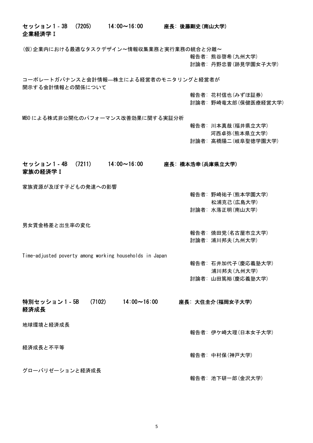# セッション 1‐3B (7205) 14:00~16:00 座長: 後藤剛史(南山大学) 企業経済学Ⅰ

(仮)企業内における最適なタスクデザイン〜情報収集業務と実行業務の統合と分離〜

報告者: 熊谷啓希(九州大学)

討論者: 丹野忠晋(跡見学園女子大学)

コーポレートガバナンスと会計情報―株主による経営者のモニタリングと経営者が 開示する会計情報との関係について

報告者: 花村信也(みずほ証券)

討論者: 野崎竜太郎(保健医療経営大学)

MBO による株式非公開化のパフォーマンス改善効果に関する実証分析

- 報告者: 川本真哉(福井県立大学) 河西卓弥(熊本県立大学)
- 討論者: 高橋陽二(岐阜聖徳学園大学)

セッション 1‐4B (7211) 14:00~16:00 座長: 橋本浩幸(兵庫県立大学) 家族の経済学Ⅰ

家族資源が及ぼす子どもの発達への影響

男女賃金格差と出生率の変化

討論者: 水落正明(南山大学)

報告者: 野崎祐子(熊本学園大学) 松浦克己(広島大学)

- 報告者: 焼田党(名古屋市立大学)
- 討論者: 浦川邦夫(九州大学)

Time-adjusted poverty among working households in Japan

報告者: 石井加代子(慶応義塾大学) 浦川邦夫(九州大学) 討論者: 山田篤裕(慶応義塾大学)

特別セッション 1 - 5B (7102) 14:00~16:00 座長: 大住圭介(福岡女子大学) 経済成長 地球環境と経済成長 報告者: 伊ケ崎大理(日本女子大学) 経済成長と不平等 報告者: 中村保(神戸大学) グローバリゼーションと経済成長

報告者: 池下研一郎(金沢大学)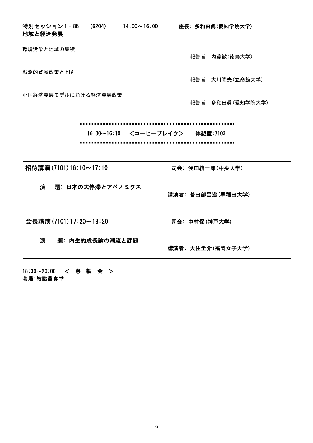## 特別セッション 1 - 8B (6204) 14:00~16:00 座長: 多和田眞(愛知学院大学) 地域と経済発展

環境汚染と地域の集積

戦略的貿易政策と FTA

報告者: 内藤徹(徳島大学)

報告者: 大川隆夫(立命館大学)

小国経済発展モデルにおける経済発展政策

報告者: 多和田眞(愛知学院大学)

 16:00~16:10 <コーヒーブレイク> 休憩室:7103 

招待講演(7101)16:10~17:10 70 70 70 70 司会: 浅田統一郎(中央大学)

演 題: 日本の大停滞とアベノミクス

会長講演(7101)17:20~18:20 司会: 中村保(神戸大学)

演 題: 内生的成長論の潮流と課題

講演者: 若田部昌澄(早稲田大学)

講演者: 大住圭介(福岡女子大学)

18:30~20:00 < 懇 親 会 > 会場:教職員食堂

L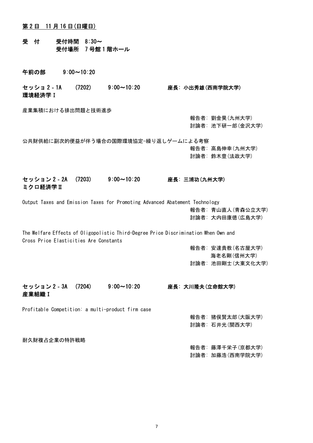## 第 2 日 11 月 16 日(日曜日)

- 受 付 受付時間 8:30~ 受付場所 7 号館 1 階ホール
- 午前の部 9:00~10:20

セッショ 2‐1A (7202) 9:00~10:20 座長: 小出秀雄(西南学院大学) 環境経済学Ⅰ

産業集積における排出問題と技術進歩

報告者: 劉金昊(九州大学) 討論者: 池下研一郎(金沢大学)

公共財供給に副次的便益が伴う場合の国際環境協定-繰り返しゲームによる考察

報告者: 高島伸幸(九州大学) 討論者: 鈴木豊(法政大学)

セッション 2‐2A (7203) 9:00~10:20 座長: 三浦功(九州大学) ミクロ経済学Ⅱ

Output Taxes and Emission Taxes for Promoting Advanced Abatement Technology 報告者: 青山直人(青森公立大学) 討論者: 大内田康徳(広島大学)

The Welfare Effects of Oligopolistic Third-Degree Price Discrimination When Own and Cross Price Elasticities Are Constants

> 報告者: 安達貴教(名古屋大学) 海老名剛(信州大学) 討論者: 池田剛士(大東文化大学)

セッション 2‐3A (7204) 9:00~10:20 座長: 大川隆夫(立命館大学) 産業組織Ⅰ

Profitable Competition: a multi-product firm case

報告者: 猪俣賢太郎(大阪大学) 討論者: 石井光(関西大学)

耐久財複占企業の特許戦略

報告者: 藤澤千栄子(京都大学)

討論者: 加藤浩(西南学院大学)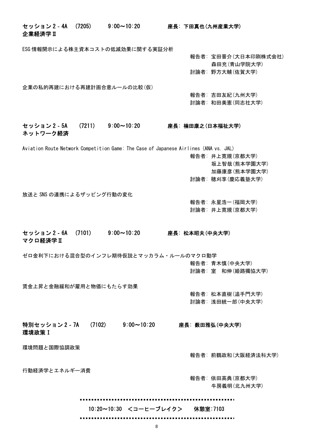セッション 2‐4A (7205) 9:00~10:20 座長: 下田真也(九州産業大学) 企業経済学Ⅱ ESG 情報開示による株主資本コストの低減効果に関する実証分析 報告者: 宝田晋介(大日本印刷株式会社) 森田充(青山学院大学) 討論者: 野方大輔(佐賀大学) 企業の私的再建における再建計画合意ルールの比較(仮) 報告者: 吉田友紀(九州大学) 討論者: 和田美憲(同志社大学) セッション 2‐5A (7211) 9:00~10:20 座長: 楠田康之(日本福祉大学) ネットワーク経済 Aviation Route Network Competition Game: The Case of Japanese Airlines (ANA vs. JAL) 報告者: 井上寛規(京都大学) 坂上智哉(熊本学園大学) 加藤康彦(熊本学園大学) 討論者: 穂刈享(慶応義塾大学) 放送と SNS の連携によるザッピング行動の変化 報告者: 永星浩一(福岡大学) 討論者: 井上寛規(京都大学) セッション 2‐6A (7101) 9:00~10:20 座長: 松本昭夫(中央大学) マクロ経済学Ⅱ ゼロ金利下における混合型のインフレ期待仮説とマッカラム・ルールのマクロ動学 報告者: 青木慎(中央大学) 討論者: 室 和伸(姫路獨協大学) 賃金上昇と金融緩和が雇用と物価にもたらす効果 報告者: 松本直樹(追手門大学) 討論者: 浅田統一郎(中央大学) 特別セッション 2‐7A (7102) 9:00~10:20 座長: 薮田雅弘(中央大学) 環境政策Ⅰ 環境問題と国際協調政策 報告者: 前鶴政和(大阪経済法科大学) 行動経済学とエネルギー消費 報告者: 依田高典(京都大学) 牛房義明(北九州大学) ľ 10:20~10:30 <コーヒーブレイク> 休憩室:7103

.......................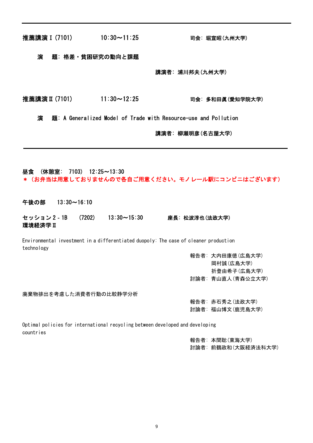**推薦講演Ⅰ(7101) 10:30∼11:25 司会: 堀宣昭(九州大学)** 

#### 演 題: 格差・貧困研究の動向と課題

講演者: 浦川邦夫(九州大学)

推薦講演Ⅱ(7101) 11:30~12:25 司会: 多和田眞(愛知学院大学)

演 題: A Generalized Model of Trade with Resource-use and Pollution

講演者: 柳瀬明彦(名古屋大学)

# 昼食 (休憩室: 7103) 12:25~13:30 \*(お弁当は用意しておりませんので各自ご用意ください。モノレール駅にコンビニはございます)

午後の部 13:30~16:10

セッション 2‐1B (7202) 13:30~15:30 座長: 松波淳也(法政大学) 環境経済学Ⅱ

Environmental investment in a differentiated duopoly: The case of cleaner production technology

> 報告者: 大内田康徳(広島大学) 岡村誠(広島大学) 折登由希子(広島大学) 討論者: 青山直人(青森公立大学)

廃棄物排出を考慮した消費者行動の比較静学分析

報告者: 赤石秀之(法政大学) 討論者: 福山博文(鹿児島大学)

Optimal policies for international recycling between developed and developing countries

> 報告者: 本間聡(東海大学) 討論者: 前鶴政和(大阪経済法科大学)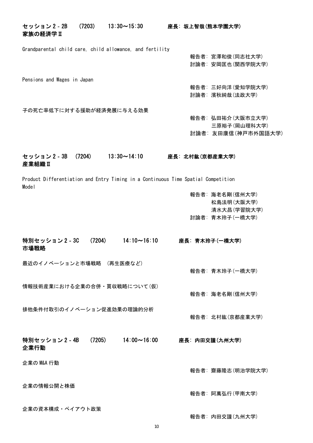| セッション 2 - 2B<br>家族の経済学II      | (7203) | $13:30 \sim 15:30$                                                                | 座長:坂上智哉(熊本学園大学) |                                                                 |
|-------------------------------|--------|-----------------------------------------------------------------------------------|-----------------|-----------------------------------------------------------------|
|                               |        | Grandparental child care, child allowance, and fertility                          |                 | 報告者: 宮澤和俊(同志社大学)<br>討論者: 安岡匡也 (関西学院大学)                          |
| Pensions and Wages in Japan   |        |                                                                                   |                 | 報告者: 三好向洋(愛知学院大学)<br>討論者: 濱秋純哉(法政大学)                            |
| 子の死亡率低下に対する援助が経済発展に与える効果      |        |                                                                                   |                 | 報告者: 弘田祐介 (大阪市立大学)<br>三原裕子(岡山理科大学)<br>討論者:友田康信(神戸市外国語大学)        |
| セッション 2 - 3B<br>産業組織Ⅱ         | (7204) | $13:30 \sim 14:10$                                                                | 座長: 北村紘(京都産業大学) |                                                                 |
| Mode I                        |        | Product Differentiation and Entry Timing in a Continuous Time Spatial Competition |                 | 報告者: 海老名剛(信州大学)<br>松島法明(大阪大学)<br>清水大昌(学習院大学)<br>討論者: 青木玲子(一橋大学) |
| 特別セッション 2 - 3C<br>市場戦略        | (7204) | $14:10 \sim 16:10$                                                                |                 | 座長: 青木玲子(一橋大学)                                                  |
| 最近のイノベーションと市場戦略 (再生医療など)      |        |                                                                                   |                 | 報告者: 青木玲子(一橋大学)                                                 |
| 情報技術産業における企業の合併 • 買収戦略について(仮) |        |                                                                                   |                 | 報告者: 海老名剛(信州大学)                                                 |
| 排他条件付取引のイノベーション促進効果の理論的分析     |        |                                                                                   |                 | 報告者: 北村紘 (京都産業大学)                                               |
| 特別セッション2-4B<br>企業行動           | (7205) | $14:00 \sim 16:00$                                                                |                 | 座長: 内田交謹(九州大学)                                                  |
| 企業の M&A 行動                    |        |                                                                                   |                 | 報告者: 齋藤隆志 (明治学院大学)                                              |
| 企業の情報公開と株価                    |        |                                                                                   |                 | 報告者:阿萬弘行(甲南大学)                                                  |
| 企業の資本構成・ペイアウト政策               |        |                                                                                   |                 |                                                                 |

報告者: 内田交謹(九州大学)

10